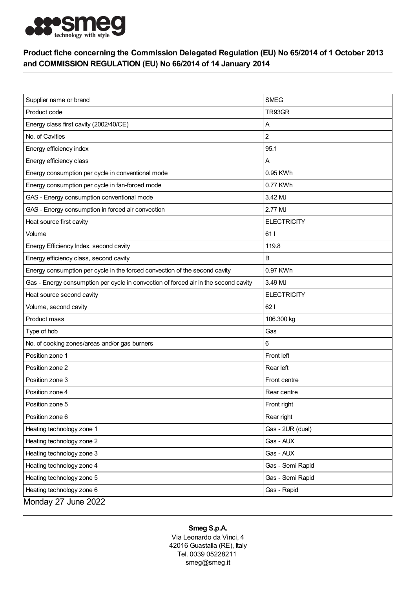

## Product fiche concerning the Commission Delegated Regulation (EU) No 65/2014 of 1 October 2013 and COMMISSION REGULATION (EU) No 66/2014 of 14 January 2014

| Supplier name or brand                                                              | <b>SMEG</b>        |
|-------------------------------------------------------------------------------------|--------------------|
| Product code                                                                        | TR93GR             |
| Energy class first cavity (2002/40/CE)                                              | Α                  |
| No. of Cavities                                                                     | $\overline{c}$     |
| Energy efficiency index                                                             | 95.1               |
| Energy efficiency class                                                             | Α                  |
| Energy consumption per cycle in conventional mode                                   | 0.95 KWh           |
| Energy consumption per cycle in fan-forced mode                                     | 0.77 KWh           |
| GAS - Energy consumption conventional mode                                          | 3.42 MJ            |
| GAS - Energy consumption in forced air convection                                   | 2.77 MJ            |
| Heat source first cavity                                                            | <b>ELECTRICITY</b> |
| Volume                                                                              | 611                |
| Energy Efficiency Index, second cavity                                              | 119.8              |
| Energy efficiency class, second cavity                                              | B                  |
| Energy consumption per cycle in the forced convection of the second cavity          | 0.97 KWh           |
| Gas - Energy consumption per cycle in convection of forced air in the second cavity | 3.49 MJ            |
| Heat source second cavity                                                           | <b>ELECTRICITY</b> |
| Volume, second cavity                                                               | 621                |
| Product mass                                                                        | 106.300 kg         |
| Type of hob                                                                         | Gas                |
| No. of cooking zones/areas and/or gas burners                                       | 6                  |
| Position zone 1                                                                     | Front left         |
| Position zone 2                                                                     | Rear left          |
| Position zone 3                                                                     | Front centre       |
| Position zone 4                                                                     | Rear centre        |
| Position zone 5                                                                     | Front right        |
| Position zone 6                                                                     | Rear right         |
| Heating technology zone 1                                                           | Gas - 2UR (dual)   |
| Heating technology zone 2                                                           | Gas - AUX          |
| Heating technology zone 3                                                           | Gas - AUX          |
| Heating technology zone 4                                                           | Gas - Semi Rapid   |
| Heating technology zone 5                                                           | Gas - Semi Rapid   |
| Heating technology zone 6                                                           | Gas - Rapid        |
| Monday 27 June 2022                                                                 |                    |

## Smeg S.p.A.

Via Leonardo da Vinci, 4 42016 Guastalla (RE), Italy Tel. 0039 05228211 smeg@smeg.it